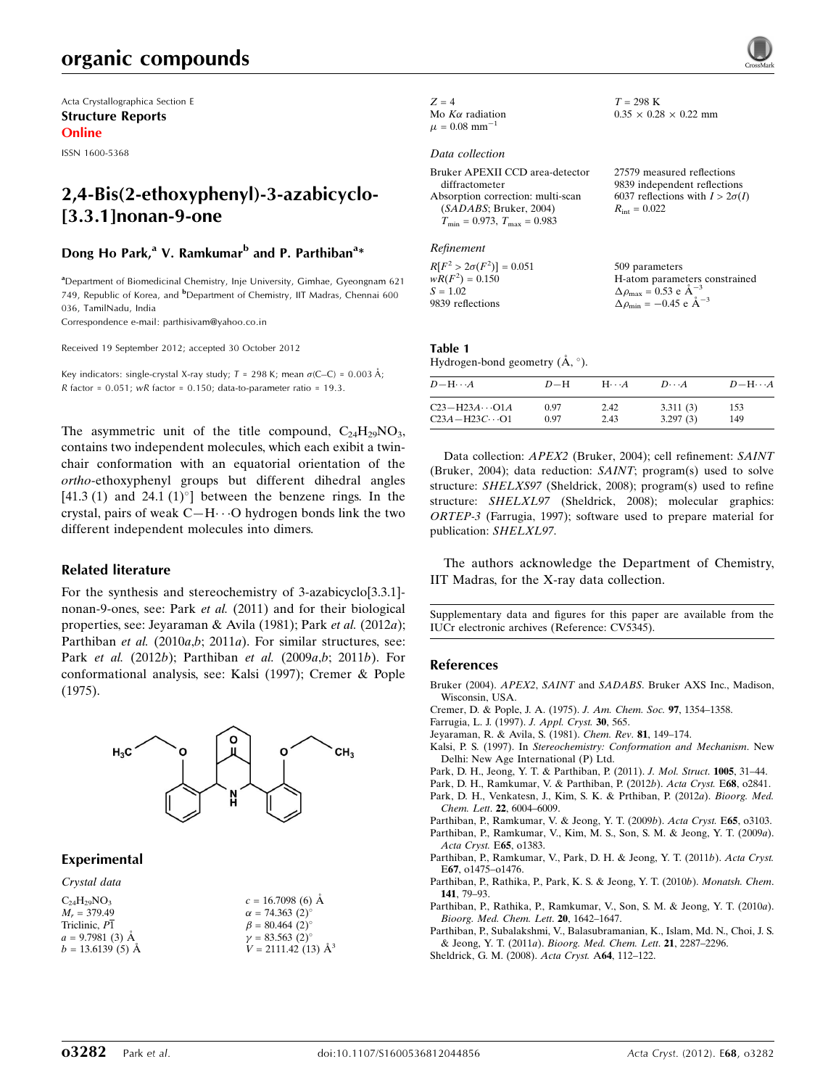# organic compounds

Acta Crystallographica Section E Structure Reports Online

ISSN 1600-5368

# 2,4-Bis(2-ethoxyphenyl)-3-azabicyclo- [3.3.1]nonan-9-one

## Dong Ho Park,<sup>a</sup> V. Ramkumar<sup>b</sup> and P. Parthiban<sup>a</sup>\*

<sup>a</sup> Department of Biomedicinal Chemistry, Inje University, Gimhae, Gyeongnam 621 749, Republic of Korea, and <sup>b</sup>Department of Chemistry, IIT Madras, Chennai 600 036, TamilNadu, India

Correspondence e-mail: [parthisivam@yahoo.co.in](http://scripts.iucr.org/cgi-bin/cr.cgi?rm=pdfbb&cnor=cv5345&bbid=BB15)

Received 19 September 2012; accepted 30 October 2012

Key indicators: single-crystal X-ray study;  $T = 298$  K; mean  $\sigma$ (C–C) = 0.003 Å; R factor =  $0.051$ ; wR factor =  $0.150$ ; data-to-parameter ratio = 19.3.

The asymmetric unit of the title compound,  $C_{24}H_{29}NO_3$ , contains two independent molecules, which each exibit a twinchair conformation with an equatorial orientation of the ortho-ethoxyphenyl groups but different dihedral angles  $[41.3 (1)$  and  $24.1 (1)$ <sup>o</sup>] between the benzene rings. In the crystal, pairs of weak  $C-H\cdots O$  hydrogen bonds link the two different independent molecules into dimers.

### Related literature

For the synthesis and stereochemistry of 3-azabicyclo[3.3.1] nonan-9-ones, see: Park et al. (2011) and for their biological properties, see: Jeyaraman & Avila (1981); Park et al. (2012a); Parthiban et al. (2010a,b; 2011a). For similar structures, see: Park et al. (2012b); Parthiban et al. (2009a,b; 2011b). For conformational analysis, see: Kalsi (1997); Cremer & Pople (1975).



### **Experimental**

| Crystal data       |                                   |
|--------------------|-----------------------------------|
| $C_{24}H_{29}NO_3$ | $c = 16.7098(6)$ Å                |
| $M_r = 379.49$     | $\alpha = 74.363(2)^{\circ}$      |
| Triclinic, P1      | $\beta = 80.464$ (2) <sup>o</sup> |
| $a = 9.7981(3)$ Å  | $v = 83.563(2)$ °                 |
| $b = 13.6139(5)$ Å | $V = 2111.42(13)$ $\AA^3$         |
|                    |                                   |

| $Z=4$                         |
|-------------------------------|
| Mo $K\alpha$ radiation        |
| $\mu = 0.08$ mm <sup>-1</sup> |

#### Data collection

| Bruker APEXII CCD area-detector         | 27579 measured reflections             |
|-----------------------------------------|----------------------------------------|
| diffractometer                          | 9839 independent reflections           |
| Absorption correction: multi-scan       | 6037 reflections with $I > 2\sigma(I)$ |
| (SADABS; Bruker, 2004)                  | $R_{\rm int} = 0.022$                  |
| $T_{\min} = 0.973$ , $T_{\max} = 0.983$ |                                        |
|                                         |                                        |

 $T = 298$  K

 $0.35 \times 0.28 \times 0.22$  mm

### Refinement

 $R[F^2 > 2\sigma(F^2)] = 0.051$  $wR(F^2) = 0.150$  $S = 1.02$ 9839 reflections 509 parameters H-atom parameters constrained  $\Delta \rho_{\text{max}} = 0.53 \text{ e A}^{-3}$  $\Delta \rho_{\rm min} = -0.45 \text{ e } \text{\AA}^{-3}$ 

#### Table 1 Hydrogen-bond geometry  $(\AA, \degree)$ .

| $D - H \cdots A$        | $D-H$ | $H\cdots A$ | $D\cdots A$ | $D - H \cdots A$ |
|-------------------------|-------|-------------|-------------|------------------|
| $C23 - H23A \cdots 01A$ | 0.97  | 2.42        | 3.311(3)    | 153              |
| $C23A - H23C \cdots$ O1 | 0.97  | 2.43        | 3.297(3)    | 149              |

Data collection: APEX2 (Bruker, 2004); cell refinement: SAINT (Bruker, 2004); data reduction: SAINT; program(s) used to solve structure: SHELXS97 (Sheldrick, 2008); program(s) used to refine structure: SHELXL97 (Sheldrick, 2008); molecular graphics: ORTEP-3 (Farrugia, 1997); software used to prepare material for publication: SHELXL97.

The authors acknowledge the Department of Chemistry, IIT Madras, for the X-ray data collection.

Supplementary data and figures for this paper are available from the IUCr electronic archives (Reference: CV5345).

#### References

- Bruker (2004). APEX2, SAINT and SADABS[. Bruker AXS Inc., Madison,](http://scripts.iucr.org/cgi-bin/cr.cgi?rm=pdfbb&cnor=cv5345&bbid=BB1) [Wisconsin, USA.](http://scripts.iucr.org/cgi-bin/cr.cgi?rm=pdfbb&cnor=cv5345&bbid=BB1)
- [Cremer, D. & Pople, J. A. \(1975\).](http://scripts.iucr.org/cgi-bin/cr.cgi?rm=pdfbb&cnor=cv5345&bbid=BB2) J. Am. Chem. Soc. 97, 1354–1358.
- [Farrugia, L. J. \(1997\).](http://scripts.iucr.org/cgi-bin/cr.cgi?rm=pdfbb&cnor=cv5345&bbid=BB3) J. Appl. Cryst. 30, 565.
- [Jeyaraman, R. & Avila, S. \(1981\).](http://scripts.iucr.org/cgi-bin/cr.cgi?rm=pdfbb&cnor=cv5345&bbid=BB4) Chem. Rev. 81, 149–174.
- Kalsi, P. S. (1997). In [Stereochemistry: Conformation and Mechanism](http://scripts.iucr.org/cgi-bin/cr.cgi?rm=pdfbb&cnor=cv5345&bbid=BB5). New [Delhi: New Age International \(P\) Ltd.](http://scripts.iucr.org/cgi-bin/cr.cgi?rm=pdfbb&cnor=cv5345&bbid=BB5)
- [Park, D. H., Jeong, Y. T. & Parthiban, P. \(2011\).](http://scripts.iucr.org/cgi-bin/cr.cgi?rm=pdfbb&cnor=cv5345&bbid=BB6) J. Mol. Struct. 1005, 31–44.
- [Park, D. H., Ramkumar, V. & Parthiban, P. \(2012](http://scripts.iucr.org/cgi-bin/cr.cgi?rm=pdfbb&cnor=cv5345&bbid=BB7)b). Acta Cryst. E68, o2841.
- [Park, D. H., Venkatesn, J., Kim, S. K. & Prthiban, P. \(2012](http://scripts.iucr.org/cgi-bin/cr.cgi?rm=pdfbb&cnor=cv5345&bbid=BB8)a). Bioorg. Med. Chem. Lett. 22[, 6004–6009.](http://scripts.iucr.org/cgi-bin/cr.cgi?rm=pdfbb&cnor=cv5345&bbid=BB8)
- [Parthiban, P., Ramkumar, V. & Jeong, Y. T. \(2009](http://scripts.iucr.org/cgi-bin/cr.cgi?rm=pdfbb&cnor=cv5345&bbid=BB9)b). Acta Cryst. E65, o3103.
- [Parthiban, P., Ramkumar, V., Kim, M. S., Son, S. M. & Jeong, Y. T. \(2009](http://scripts.iucr.org/cgi-bin/cr.cgi?rm=pdfbb&cnor=cv5345&bbid=BB10)a). [Acta Cryst.](http://scripts.iucr.org/cgi-bin/cr.cgi?rm=pdfbb&cnor=cv5345&bbid=BB10) E65, o1383.
- [Parthiban, P., Ramkumar, V., Park, D. H. & Jeong, Y. T. \(2011](http://scripts.iucr.org/cgi-bin/cr.cgi?rm=pdfbb&cnor=cv5345&bbid=BB11)b). Acta Cryst. E67[, o1475–o1476.](http://scripts.iucr.org/cgi-bin/cr.cgi?rm=pdfbb&cnor=cv5345&bbid=BB11)
- [Parthiban, P., Rathika, P., Park, K. S. & Jeong, Y. T. \(2010](http://scripts.iucr.org/cgi-bin/cr.cgi?rm=pdfbb&cnor=cv5345&bbid=BB12)b). Monatsh. Chem. 141[, 79–93.](http://scripts.iucr.org/cgi-bin/cr.cgi?rm=pdfbb&cnor=cv5345&bbid=BB12)
- [Parthiban, P., Rathika, P., Ramkumar, V., Son, S. M. & Jeong, Y. T. \(2010](http://scripts.iucr.org/cgi-bin/cr.cgi?rm=pdfbb&cnor=cv5345&bbid=BB13)a). [Bioorg. Med. Chem. Lett](http://scripts.iucr.org/cgi-bin/cr.cgi?rm=pdfbb&cnor=cv5345&bbid=BB13). 20, 1642–1647.
- [Parthiban, P., Subalakshmi, V., Balasubramanian, K., Islam, Md. N., Choi, J. S.](http://scripts.iucr.org/cgi-bin/cr.cgi?rm=pdfbb&cnor=cv5345&bbid=BB14) & Jeong, Y. T. (2011a). [Bioorg. Med. Chem. Lett](http://scripts.iucr.org/cgi-bin/cr.cgi?rm=pdfbb&cnor=cv5345&bbid=BB14). 21, 2287–2296.
- [Sheldrick, G. M. \(2008\).](http://scripts.iucr.org/cgi-bin/cr.cgi?rm=pdfbb&cnor=cv5345&bbid=BB15) Acta Cryst. A64, 112–122.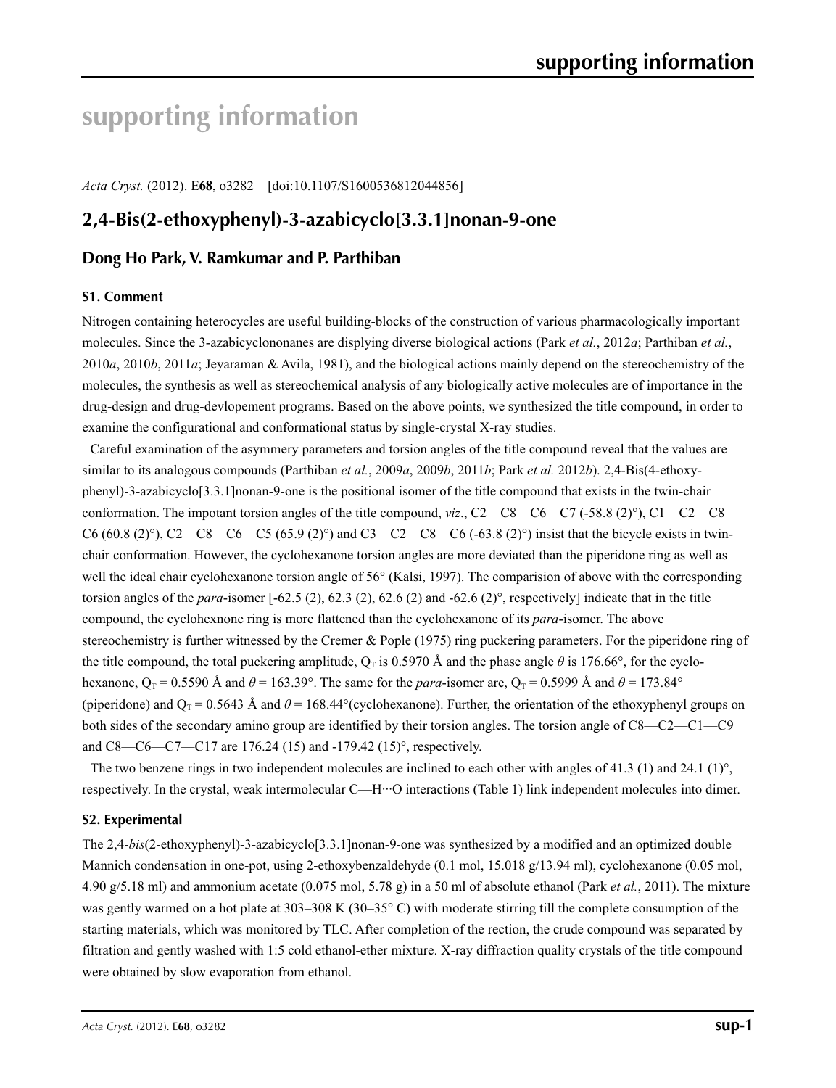# **supporting information**

*Acta Cryst.* (2012). E**68**, o3282 [doi:10.1107/S1600536812044856]

# **2,4-Bis(2-ethoxyphenyl)-3-azabicyclo[3.3.1]nonan-9-one**

# **Dong Ho Park, V. Ramkumar and P. Parthiban**

### **S1. Comment**

Nitrogen containing heterocycles are useful building-blocks of the construction of various pharmacologically important molecules. Since the 3-azabicyclononanes are displying diverse biological actions (Park *et al.*, 2012*a*; Parthiban *et al.*, 2010*a*, 2010*b*, 2011*a*; Jeyaraman & Avila, 1981), and the biological actions mainly depend on the stereochemistry of the molecules, the synthesis as well as stereochemical analysis of any biologically active molecules are of importance in the drug-design and drug-devlopement programs. Based on the above points, we synthesized the title compound, in order to examine the configurational and conformational status by single-crystal X-ray studies.

Careful examination of the asymmery parameters and torsion angles of the title compound reveal that the values are similar to its analogous compounds (Parthiban *et al.*, 2009*a*, 2009*b*, 2011*b*; Park *et al.* 2012*b*). 2,4-Bis(4-ethoxyphenyl)-3-azabicyclo[3.3.1]nonan-9-one is the positional isomer of the title compound that exists in the twin-chair conformation. The impotant torsion angles of the title compound, *viz*., C2—C8—C6—C7 (-58.8 (2)°), C1—C2—C8— C6 (60.8 (2)°), C2—C8—C6—C5 (65.9 (2)°) and C3—C2—C8—C6 (-63.8 (2)°) insist that the bicycle exists in twinchair conformation. However, the cyclohexanone torsion angles are more deviated than the piperidone ring as well as well the ideal chair cyclohexanone torsion angle of 56° (Kalsi, 1997). The comparision of above with the corresponding torsion angles of the *para*-isomer  $[-62.5 (2), 62.3 (2), 62.6 (2)$  and  $-62.6 (2)^\circ$ , respectively] indicate that in the title compound, the cyclohexnone ring is more flattened than the cyclohexanone of its *para*-isomer. The above stereochemistry is further witnessed by the Cremer & Pople (1975) ring puckering parameters. For the piperidone ring of the title compound, the total puckering amplitude,  $Q_T$  is 0.5970 Å and the phase angle  $\theta$  is 176.66°, for the cyclohexanone,  $Q_T = 0.5590 \text{ Å}$  and  $\theta = 163.39^\circ$ . The same for the *para*-isomer are,  $Q_T = 0.5999 \text{ Å}$  and  $\theta = 173.84^\circ$ (piperidone) and  $Q_T = 0.5643$  Å and  $\theta = 168.44^{\circ}$  (cyclohexanone). Further, the orientation of the ethoxyphenyl groups on both sides of the secondary amino group are identified by their torsion angles. The torsion angle of C8—C2—C1—C9 and C8—C6—C7—C17 are 176.24 (15) and -179.42 (15)°, respectively.

The two benzene rings in two independent molecules are inclined to each other with angles of 41.3 (1) and 24.1 (1)°, respectively. In the crystal, weak intermolecular C—H···O interactions (Table 1) link independent molecules into dimer.

### **S2. Experimental**

The 2,4-*bis*(2-ethoxyphenyl)-3-azabicyclo[3.3.1]nonan-9-one was synthesized by a modified and an optimized double Mannich condensation in one-pot, using 2-ethoxybenzaldehyde (0.1 mol, 15.018 g/13.94 ml), cyclohexanone (0.05 mol, 4.90 g/5.18 ml) and ammonium acetate (0.075 mol, 5.78 g) in a 50 ml of absolute ethanol (Park *et al.*, 2011). The mixture was gently warmed on a hot plate at 303–308 K (30–35° C) with moderate stirring till the complete consumption of the starting materials, which was monitored by TLC. After completion of the rection, the crude compound was separated by filtration and gently washed with 1:5 cold ethanol-ether mixture. X-ray diffraction quality crystals of the title compound were obtained by slow evaporation from ethanol.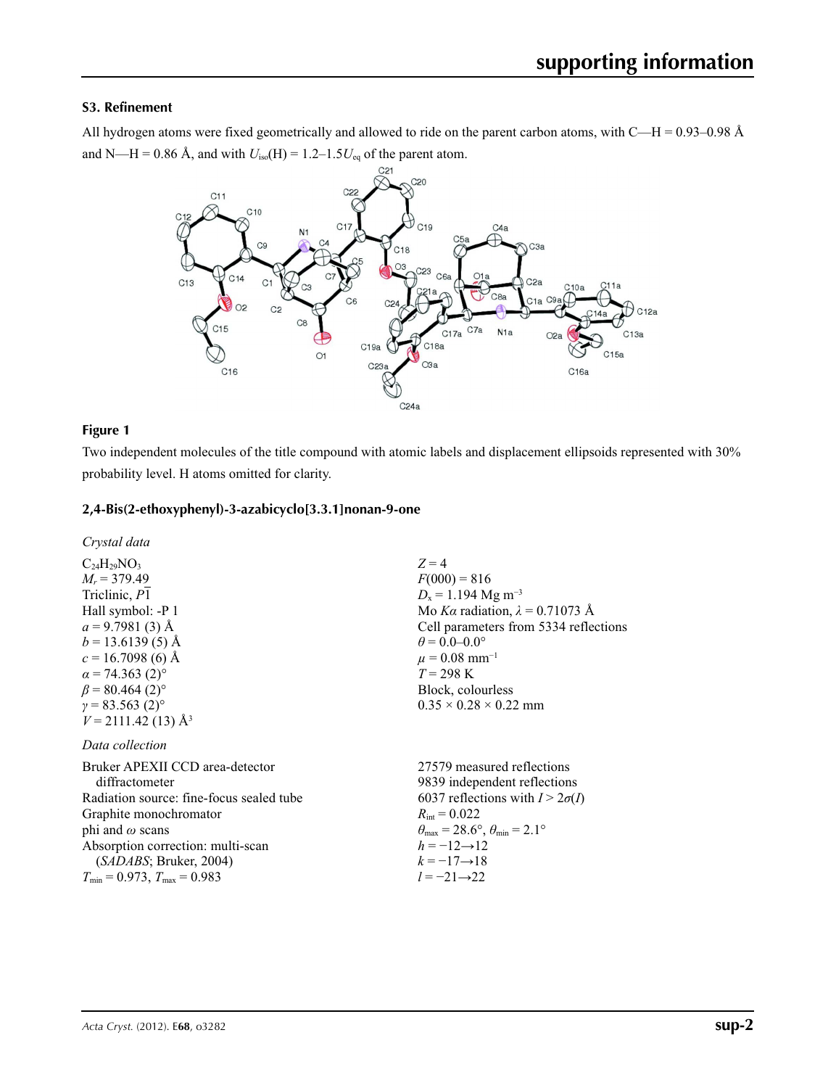### **S3. Refinement**

All hydrogen atoms were fixed geometrically and allowed to ride on the parent carbon atoms, with  $C-H = 0.93-0.98$  Å and N—H = 0.86 Å, and with  $U_{\text{iso}}(H) = 1.2 - 1.5U_{\text{eq}}$  of the parent atom.



### **Figure 1**

Two independent molecules of the title compound with atomic labels and displacement ellipsoids represented with 30% probability level. H atoms omitted for clarity.

### **2,4-Bis(2-ethoxyphenyl)-3-azabicyclo[3.3.1]nonan-9-one**

*Crystal data*

 $C_{24}H_{29}NO_3$  $M_r$  = 379.49 Triclinic, *P*1 Hall symbol: -P 1  $a = 9.7981(3)$  Å  $b = 13.6139(5)$  Å  $c = 16.7098$  (6) Å  $\alpha$  = 74.363 (2)<sup>o</sup>  $\beta$  = 80.464 (2)<sup>o</sup>  $\gamma = 83.563(2)$ °  $V = 2111.42(13)$  Å<sup>3</sup>

### *Data collection*

Bruker APEXII CCD area-detector diffractometer Radiation source: fine-focus sealed tube Graphite monochromator phi and *ω* scans Absorption correction: multi-scan (*SADABS*; Bruker, 2004)  $T_{\text{min}} = 0.973$ ,  $T_{\text{max}} = 0.983$ 27579 measured reflections  $R_{\text{int}} = 0.022$  $\theta_{\text{max}} = 28.6^{\circ}, \theta_{\text{min}} = 2.1^{\circ}$  $h = -12 \rightarrow 12$  $k = -17 \rightarrow 18$ *l* = −21→22

 $Z = 4$  $F(000) = 816$  $D_x = 1.194$  Mg m<sup>-3</sup> Mo *Kα* radiation,  $\lambda = 0.71073$  Å Cell parameters from 5334 reflections  $\theta$  = 0.0–0.0°  $\mu$  = 0.08 mm<sup>-1</sup>  $T = 298 \text{ K}$ Block, colourless  $0.35 \times 0.28 \times 0.22$  mm

9839 independent reflections 6037 reflections with  $I > 2\sigma(I)$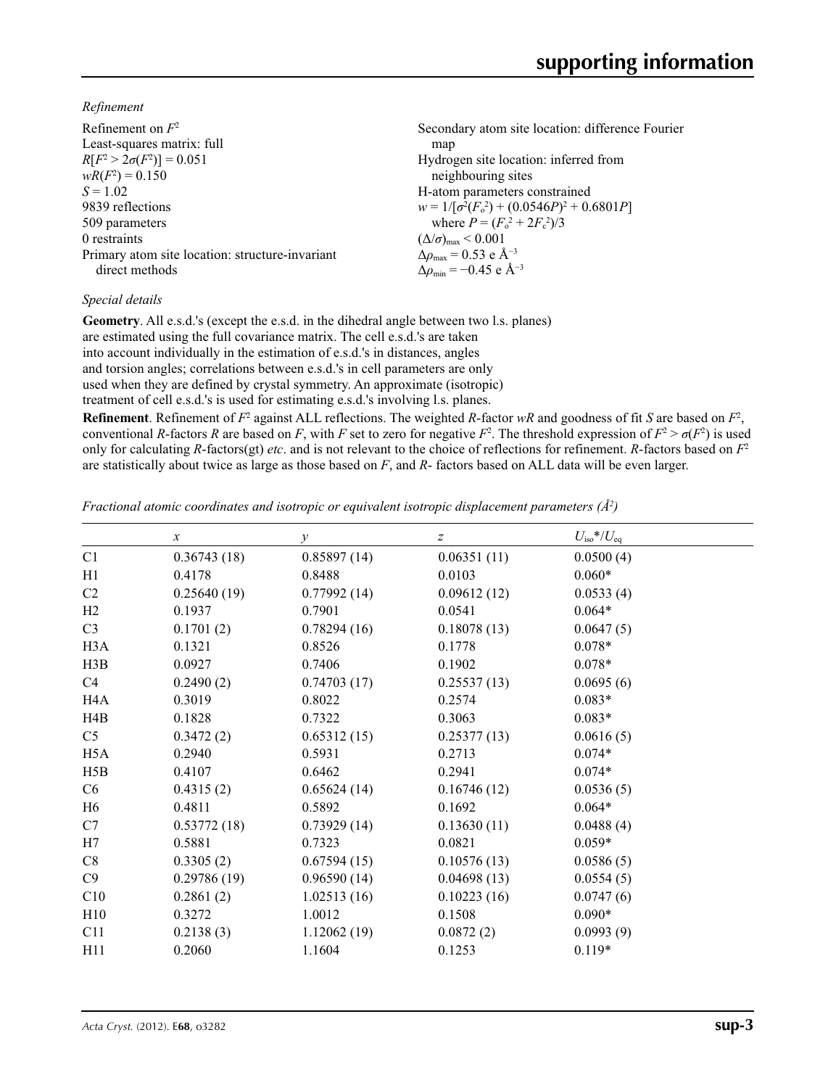*Refinement*

| Refinement on $F^2$                             | Secondary atom site location: difference Fourier    |
|-------------------------------------------------|-----------------------------------------------------|
| Least-squares matrix: full                      | map                                                 |
| $R[F^2 > 2\sigma(F^2)] = 0.051$                 | Hydrogen site location: inferred from               |
| $wR(F^2) = 0.150$                               | neighbouring sites                                  |
| $S = 1.02$                                      | H-atom parameters constrained                       |
| 9839 reflections                                | $w = 1/[\sigma^2(F_0^2) + (0.0546P)^2 + 0.6801P]$   |
| 509 parameters                                  | where $P = (F_o^2 + 2F_c^2)/3$                      |
| 0 restraints                                    | $(\Delta/\sigma)_{\text{max}}$ < 0.001              |
| Primary atom site location: structure-invariant | $\Delta \rho_{\text{max}} = 0.53$ e Å <sup>-3</sup> |
| direct methods                                  | $\Delta\rho_{\rm min} = -0.45$ e Å <sup>-3</sup>    |
|                                                 |                                                     |

## *Special details*

**Geometry**. All e.s.d.'s (except the e.s.d. in the dihedral angle between two l.s. planes) are estimated using the full covariance matrix. The cell e.s.d.'s are taken into account individually in the estimation of e.s.d.'s in distances, angles and torsion angles; correlations between e.s.d.'s in cell parameters are only used when they are defined by crystal symmetry. An approximate (isotropic) treatment of cell e.s.d.'s is used for estimating e.s.d.'s involving l.s. planes.

**Refinement**. Refinement of  $F^2$  against ALL reflections. The weighted *R*-factor  $wR$  and goodness of fit *S* are based on  $F^2$ , conventional *R*-factors *R* are based on *F*, with *F* set to zero for negative  $F^2$ . The threshold expression of  $F^2 > \sigma(F^2)$  is used only for calculating *R*-factors(gt) *etc*. and is not relevant to the choice of reflections for refinement. *R*-factors based on *F*<sup>2</sup> are statistically about twice as large as those based on *F*, and *R*- factors based on ALL data will be even larger.

*Fractional atomic coordinates and isotropic or equivalent isotropic displacement parameters (Å<sup>2</sup>)* 

|                  | $\boldsymbol{x}$ | $\mathcal{Y}$ | Z           | $U_{\rm iso}*/U_{\rm eq}$ |
|------------------|------------------|---------------|-------------|---------------------------|
| C1               | 0.36743(18)      | 0.85897(14)   | 0.06351(11) | 0.0500(4)                 |
| H1               | 0.4178           | 0.8488        | 0.0103      | $0.060*$                  |
| C <sub>2</sub>   | 0.25640(19)      | 0.77992(14)   | 0.09612(12) | 0.0533(4)                 |
| H2               | 0.1937           | 0.7901        | 0.0541      | $0.064*$                  |
| C <sub>3</sub>   | 0.1701(2)        | 0.78294(16)   | 0.18078(13) | 0.0647(5)                 |
| H <sub>3</sub> A | 0.1321           | 0.8526        | 0.1778      | $0.078*$                  |
| H3B              | 0.0927           | 0.7406        | 0.1902      | $0.078*$                  |
| C4               | 0.2490(2)        | 0.74703(17)   | 0.25537(13) | 0.0695(6)                 |
| H <sub>4</sub> A | 0.3019           | 0.8022        | 0.2574      | $0.083*$                  |
| H4B              | 0.1828           | 0.7322        | 0.3063      | $0.083*$                  |
| C <sub>5</sub>   | 0.3472(2)        | 0.65312(15)   | 0.25377(13) | 0.0616(5)                 |
| H <sub>5</sub> A | 0.2940           | 0.5931        | 0.2713      | $0.074*$                  |
| H5B              | 0.4107           | 0.6462        | 0.2941      | $0.074*$                  |
| C6               | 0.4315(2)        | 0.65624(14)   | 0.16746(12) | 0.0536(5)                 |
| H <sub>6</sub>   | 0.4811           | 0.5892        | 0.1692      | $0.064*$                  |
| C7               | 0.53772(18)      | 0.73929(14)   | 0.13630(11) | 0.0488(4)                 |
| H7               | 0.5881           | 0.7323        | 0.0821      | $0.059*$                  |
| C8               | 0.3305(2)        | 0.67594(15)   | 0.10576(13) | 0.0586(5)                 |
| C9               | 0.29786(19)      | 0.96590(14)   | 0.04698(13) | 0.0554(5)                 |
| C10              | 0.2861(2)        | 1.02513(16)   | 0.10223(16) | 0.0747(6)                 |
| H10              | 0.3272           | 1.0012        | 0.1508      | $0.090*$                  |
| C11              | 0.2138(3)        | 1.12062(19)   | 0.0872(2)   | 0.0993(9)                 |
| H11              | 0.2060           | 1.1604        | 0.1253      | $0.119*$                  |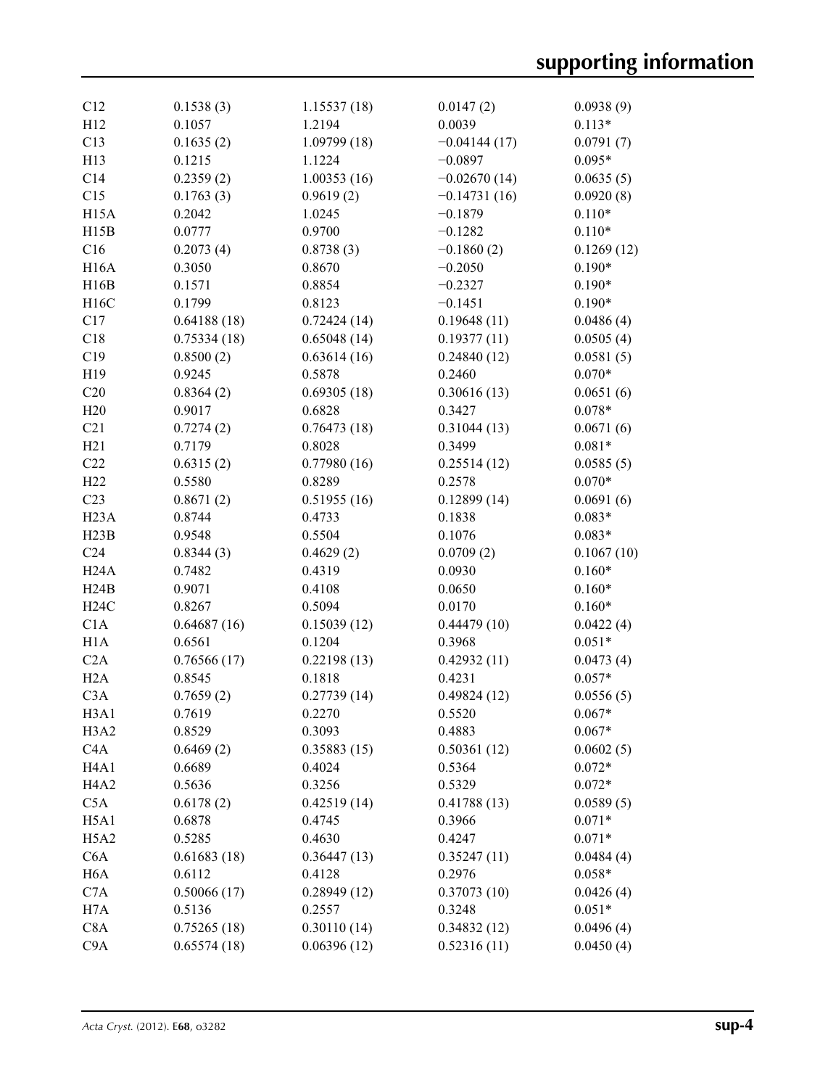| C12                                   | 0.1538(3)        | 1.15537(18) | 0.0147(2)      | 0.0938(9)  |
|---------------------------------------|------------------|-------------|----------------|------------|
| H12                                   | 0.1057           | 1.2194      | 0.0039         | $0.113*$   |
| C13                                   | 0.1635(2)        | 1.09799(18) | $-0.04144(17)$ | 0.0791(7)  |
| H13                                   | 0.1215           | 1.1224      | $-0.0897$      | $0.095*$   |
| C14                                   | 0.2359(2)        | 1.00353(16) | $-0.02670(14)$ | 0.0635(5)  |
| C15                                   | 0.1763(3)        | 0.9619(2)   | $-0.14731(16)$ | 0.0920(8)  |
| H <sub>15</sub> A                     | 0.2042           | 1.0245      | $-0.1879$      | $0.110*$   |
|                                       | 0.0777           | 0.9700      |                | $0.110*$   |
| H15B                                  |                  |             | $-0.1282$      |            |
| C16                                   | 0.2073(4)        | 0.8738(3)   | $-0.1860(2)$   | 0.1269(12) |
| <b>H16A</b>                           | 0.3050           | 0.8670      | $-0.2050$      | $0.190*$   |
| H16B                                  | 0.1571           | 0.8854      | $-0.2327$      | $0.190*$   |
| H16C                                  | 0.1799           | 0.8123      | $-0.1451$      | $0.190*$   |
| C17                                   | 0.64188(18)      | 0.72424(14) | 0.19648(11)    | 0.0486(4)  |
| C18                                   | 0.75334(18)      | 0.65048(14) | 0.19377(11)    | 0.0505(4)  |
| C19                                   | 0.8500(2)        | 0.63614(16) | 0.24840(12)    | 0.0581(5)  |
| H19                                   | 0.9245           | 0.5878      | 0.2460         | $0.070*$   |
| C20                                   | 0.8364(2)        | 0.69305(18) | 0.30616(13)    | 0.0651(6)  |
| H20                                   | 0.9017           | 0.6828      | 0.3427         | $0.078*$   |
| C21                                   | 0.7274(2)        | 0.76473(18) | 0.31044(13)    | 0.0671(6)  |
| H21                                   | 0.7179           | 0.8028      | 0.3499         | $0.081*$   |
| C22                                   | 0.6315(2)        | 0.77980(16) | 0.25514(12)    | 0.0585(5)  |
| H22                                   | 0.5580           | 0.8289      | 0.2578         | $0.070*$   |
| C <sub>23</sub>                       | 0.8671(2)        | 0.51955(16) | 0.12899(14)    | 0.0691(6)  |
| H23A                                  | 0.8744           | 0.4733      | 0.1838         | $0.083*$   |
| H23B                                  | 0.9548           | 0.5504      | 0.1076         | $0.083*$   |
| C <sub>24</sub>                       | 0.8344(3)        | 0.4629(2)   | 0.0709(2)      | 0.1067(10) |
| H24A                                  | 0.7482           | 0.4319      | 0.0930         | $0.160*$   |
| H24B                                  | 0.9071           | 0.4108      | 0.0650         | $0.160*$   |
| H24C                                  | 0.8267           | 0.5094      | 0.0170         | $0.160*$   |
| C1A                                   | 0.64687(16)      | 0.15039(12) | 0.44479(10)    | 0.0422(4)  |
| H1A                                   | 0.6561           | 0.1204      | 0.3968         | $0.051*$   |
| C2A                                   | 0.76566(17)      | 0.22198(13) | 0.42932(11)    | 0.0473(4)  |
| H2A                                   | 0.8545           | 0.1818      | 0.4231         | $0.057*$   |
| C <sub>3</sub> A                      | 0.7659(2)        | 0.27739(14) | 0.49824(12)    | 0.0556(5)  |
|                                       |                  |             |                |            |
| H3A1<br>H <sub>3</sub> A <sub>2</sub> | 0.7619<br>0.8529 | 0.2270      | 0.5520         | $0.067*$   |
|                                       |                  | 0.3093      | 0.4883         | $0.067*$   |
| C4A                                   | 0.6469(2)        | 0.35883(15) | 0.50361(12)    | 0.0602(5)  |
| H <sub>4</sub> A <sub>1</sub>         | 0.6689           | 0.4024      | 0.5364         | $0.072*$   |
| H <sub>4</sub> A <sub>2</sub>         | 0.5636           | 0.3256      | 0.5329         | $0.072*$   |
| C5A                                   | 0.6178(2)        | 0.42519(14) | 0.41788(13)    | 0.0589(5)  |
| H5A1                                  | 0.6878           | 0.4745      | 0.3966         | $0.071*$   |
| H <sub>5</sub> A <sub>2</sub>         | 0.5285           | 0.4630      | 0.4247         | $0.071*$   |
| C <sub>6</sub> A                      | 0.61683(18)      | 0.36447(13) | 0.35247(11)    | 0.0484(4)  |
| H <sub>6</sub> A                      | 0.6112           | 0.4128      | 0.2976         | $0.058*$   |
| C7A                                   | 0.50066(17)      | 0.28949(12) | 0.37073(10)    | 0.0426(4)  |
| H7A                                   | 0.5136           | 0.2557      | 0.3248         | $0.051*$   |
| C8A                                   | 0.75265(18)      | 0.30110(14) | 0.34832(12)    | 0.0496(4)  |
| C9A                                   | 0.65574(18)      | 0.06396(12) | 0.52316(11)    | 0.0450(4)  |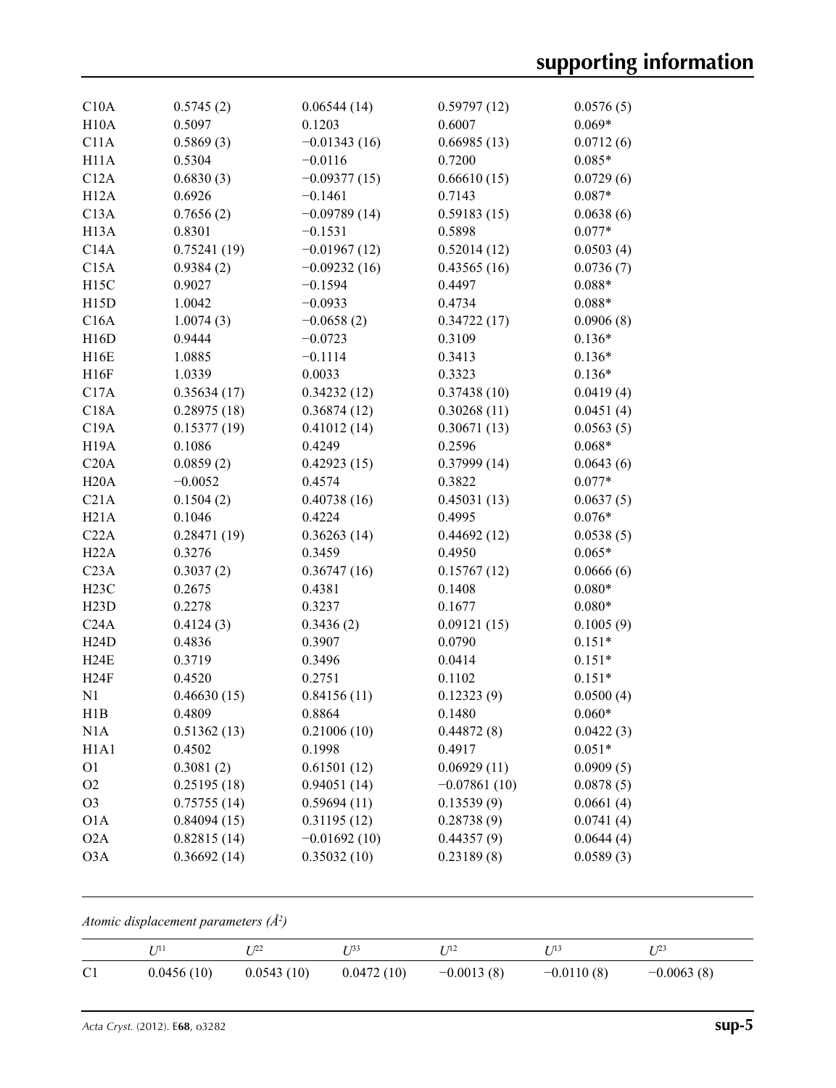| C10A                          | 0.5745(2)   | 0.06544(14)    | 0.59797(12)    | 0.0576(5) |
|-------------------------------|-------------|----------------|----------------|-----------|
| H10A                          | 0.5097      | 0.1203         | 0.6007         | $0.069*$  |
| C11A                          | 0.5869(3)   | $-0.01343(16)$ | 0.66985(13)    | 0.0712(6) |
| H11A                          | 0.5304      | $-0.0116$      | 0.7200         | $0.085*$  |
| C12A                          | 0.6830(3)   | $-0.09377(15)$ | 0.66610(15)    | 0.0729(6) |
| H12A                          | 0.6926      | $-0.1461$      | 0.7143         | $0.087*$  |
| C13A                          | 0.7656(2)   | $-0.09789(14)$ | 0.59183(15)    | 0.0638(6) |
| H <sub>13</sub> A             | 0.8301      | $-0.1531$      | 0.5898         | $0.077*$  |
| C14A                          | 0.75241(19) | $-0.01967(12)$ | 0.52014(12)    | 0.0503(4) |
| C15A                          | 0.9384(2)   | $-0.09232(16)$ | 0.43565(16)    | 0.0736(7) |
| H15C                          | 0.9027      | $-0.1594$      | 0.4497         | $0.088*$  |
| H15D                          | 1.0042      | $-0.0933$      | 0.4734         | $0.088*$  |
| C16A                          | 1.0074(3)   | $-0.0658(2)$   | 0.34722(17)    | 0.0906(8) |
| H16D                          | 0.9444      | $-0.0723$      | 0.3109         | $0.136*$  |
| H16E                          | 1.0885      | $-0.1114$      | 0.3413         | $0.136*$  |
| H16F                          | 1.0339      | 0.0033         | 0.3323         | $0.136*$  |
| C17A                          | 0.35634(17) | 0.34232(12)    | 0.37438(10)    | 0.0419(4) |
| C18A                          | 0.28975(18) | 0.36874(12)    | 0.30268(11)    | 0.0451(4) |
| C19A                          | 0.15377(19) | 0.41012(14)    | 0.30671(13)    | 0.0563(5) |
| H <sub>19</sub> A             | 0.1086      | 0.4249         | 0.2596         | $0.068*$  |
| C20A                          | 0.0859(2)   | 0.42923(15)    | 0.37999(14)    | 0.0643(6) |
| H20A                          | $-0.0052$   | 0.4574         | 0.3822         | $0.077*$  |
| C21A                          | 0.1504(2)   | 0.40738(16)    | 0.45031(13)    | 0.0637(5) |
| H21A                          | 0.1046      | 0.4224         | 0.4995         | $0.076*$  |
| C22A                          | 0.28471(19) | 0.36263(14)    | 0.44692(12)    | 0.0538(5) |
| H22A                          | 0.3276      | 0.3459         | 0.4950         | $0.065*$  |
| C <sub>23A</sub>              | 0.3037(2)   | 0.36747(16)    | 0.15767(12)    | 0.0666(6) |
| H <sub>23</sub> C             | 0.2675      | 0.4381         | 0.1408         | $0.080*$  |
| H23D                          | 0.2278      | 0.3237         | 0.1677         | $0.080*$  |
| C24A                          | 0.4124(3)   | 0.3436(2)      | 0.09121(15)    | 0.1005(9) |
| H24D                          | 0.4836      | 0.3907         | 0.0790         | $0.151*$  |
| H24E                          | 0.3719      | 0.3496         | 0.0414         | $0.151*$  |
| H24F                          | 0.4520      | 0.2751         | 0.1102         | $0.151*$  |
| N1                            | 0.46630(15) | 0.84156(11)    | 0.12323(9)     | 0.0500(4) |
| H1B                           | 0.4809      | 0.8864         | 0.1480         | $0.060*$  |
| N1A                           | 0.51362(13) | 0.21006(10)    | 0.44872(8)     | 0.0422(3) |
| H <sub>1</sub> A <sub>1</sub> | 0.4502      | 0.1998         | 0.4917         | $0.051*$  |
| O <sub>1</sub>                | 0.3081(2)   | 0.61501(12)    | 0.06929(11)    | 0.0909(5) |
| O <sub>2</sub>                | 0.25195(18) | 0.94051(14)    | $-0.07861(10)$ | 0.0878(5) |
| O <sub>3</sub>                | 0.75755(14) | 0.59694(11)    | 0.13539(9)     | 0.0661(4) |
| O1A                           | 0.84094(15) | 0.31195(12)    | 0.28738(9)     | 0.0741(4) |
| O2A                           | 0.82815(14) | $-0.01692(10)$ | 0.44357(9)     | 0.0644(4) |
| O3A                           | 0.36692(14) | 0.35032(10)    | 0.23189(8)     | 0.0589(3) |

*Atomic displacement parameters (Å2 )*

|                | $T \eta_1$ | - 122      | r 133      | T 112        | r 713        | T 123        |
|----------------|------------|------------|------------|--------------|--------------|--------------|
| C <sub>1</sub> | 0.0456(10) | 0.0543(10) | 0.0472(10) | $-0.0013(8)$ | $-0.0110(8)$ | $-0.0063(8)$ |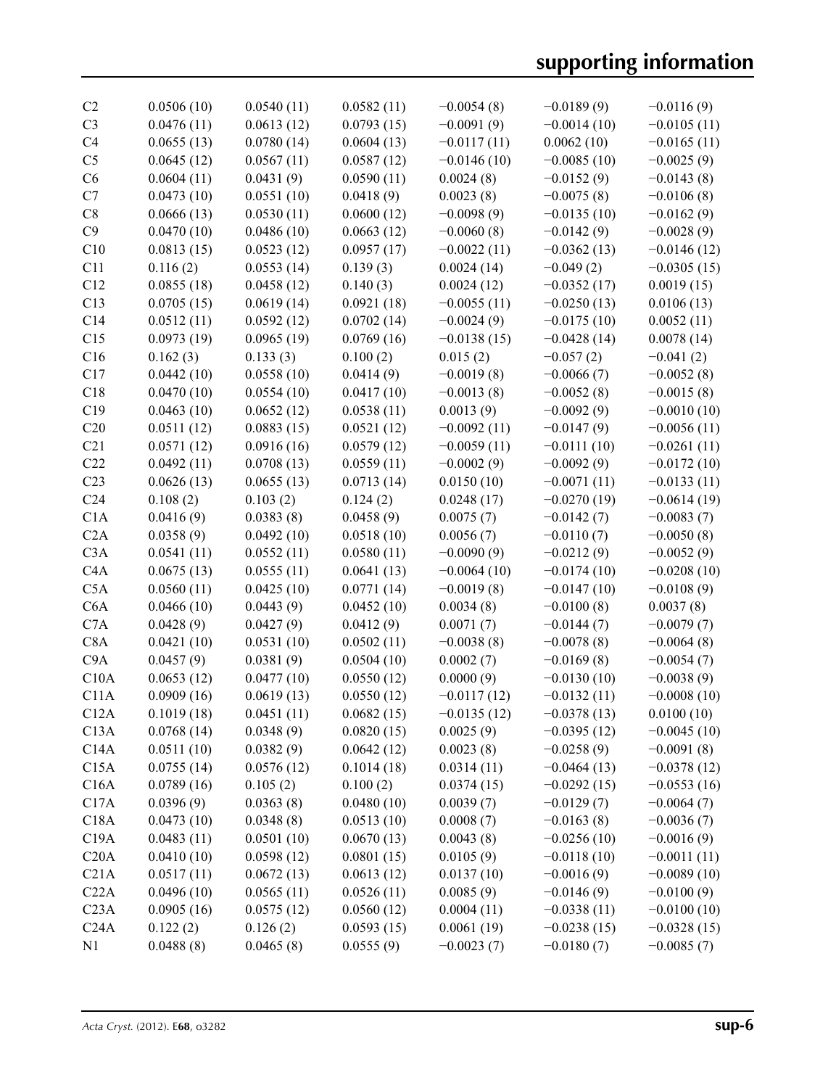| C <sub>2</sub>   | 0.0506(10) | 0.0540(11) | 0.0582(11) | $-0.0054(8)$  | $-0.0189(9)$  | $-0.0116(9)$  |
|------------------|------------|------------|------------|---------------|---------------|---------------|
| C <sub>3</sub>   | 0.0476(11) | 0.0613(12) | 0.0793(15) | $-0.0091(9)$  | $-0.0014(10)$ | $-0.0105(11)$ |
| C <sub>4</sub>   | 0.0655(13) | 0.0780(14) | 0.0604(13) | $-0.0117(11)$ | 0.0062(10)    | $-0.0165(11)$ |
| C <sub>5</sub>   | 0.0645(12) | 0.0567(11) | 0.0587(12) | $-0.0146(10)$ | $-0.0085(10)$ | $-0.0025(9)$  |
| C6               | 0.0604(11) | 0.0431(9)  | 0.0590(11) | 0.0024(8)     | $-0.0152(9)$  | $-0.0143(8)$  |
| C7               | 0.0473(10) | 0.0551(10) | 0.0418(9)  | 0.0023(8)     | $-0.0075(8)$  | $-0.0106(8)$  |
| C8               | 0.0666(13) | 0.0530(11) | 0.0600(12) | $-0.0098(9)$  | $-0.0135(10)$ | $-0.0162(9)$  |
| C9               | 0.0470(10) | 0.0486(10) | 0.0663(12) | $-0.0060(8)$  | $-0.0142(9)$  | $-0.0028(9)$  |
| C10              | 0.0813(15) | 0.0523(12) | 0.0957(17) | $-0.0022(11)$ | $-0.0362(13)$ | $-0.0146(12)$ |
| C11              | 0.116(2)   | 0.0553(14) | 0.139(3)   | 0.0024(14)    | $-0.049(2)$   | $-0.0305(15)$ |
| C12              | 0.0855(18) | 0.0458(12) | 0.140(3)   | 0.0024(12)    | $-0.0352(17)$ | 0.0019(15)    |
| C13              | 0.0705(15) | 0.0619(14) | 0.0921(18) | $-0.0055(11)$ | $-0.0250(13)$ | 0.0106(13)    |
| C14              | 0.0512(11) | 0.0592(12) | 0.0702(14) | $-0.0024(9)$  | $-0.0175(10)$ | 0.0052(11)    |
| C15              | 0.0973(19) | 0.0965(19) | 0.0769(16) | $-0.0138(15)$ | $-0.0428(14)$ | 0.0078(14)    |
| C16              | 0.162(3)   | 0.133(3)   | 0.100(2)   | 0.015(2)      | $-0.057(2)$   | $-0.041(2)$   |
|                  |            |            |            |               |               |               |
| C17              | 0.0442(10) | 0.0558(10) | 0.0414(9)  | $-0.0019(8)$  | $-0.0066(7)$  | $-0.0052(8)$  |
| C18              | 0.0470(10) | 0.0554(10) | 0.0417(10) | $-0.0013(8)$  | $-0.0052(8)$  | $-0.0015(8)$  |
| C19              | 0.0463(10) | 0.0652(12) | 0.0538(11) | 0.0013(9)     | $-0.0092(9)$  | $-0.0010(10)$ |
| C20              | 0.0511(12) | 0.0883(15) | 0.0521(12) | $-0.0092(11)$ | $-0.0147(9)$  | $-0.0056(11)$ |
| C21              | 0.0571(12) | 0.0916(16) | 0.0579(12) | $-0.0059(11)$ | $-0.0111(10)$ | $-0.0261(11)$ |
| C22              | 0.0492(11) | 0.0708(13) | 0.0559(11) | $-0.0002(9)$  | $-0.0092(9)$  | $-0.0172(10)$ |
| C <sub>23</sub>  | 0.0626(13) | 0.0655(13) | 0.0713(14) | 0.0150(10)    | $-0.0071(11)$ | $-0.0133(11)$ |
| C <sub>24</sub>  | 0.108(2)   | 0.103(2)   | 0.124(2)   | 0.0248(17)    | $-0.0270(19)$ | $-0.0614(19)$ |
| C1A              | 0.0416(9)  | 0.0383(8)  | 0.0458(9)  | 0.0075(7)     | $-0.0142(7)$  | $-0.0083(7)$  |
| C2A              | 0.0358(9)  | 0.0492(10) | 0.0518(10) | 0.0056(7)     | $-0.0110(7)$  | $-0.0050(8)$  |
| C3A              | 0.0541(11) | 0.0552(11) | 0.0580(11) | $-0.0090(9)$  | $-0.0212(9)$  | $-0.0052(9)$  |
| C4A              | 0.0675(13) | 0.0555(11) | 0.0641(13) | $-0.0064(10)$ | $-0.0174(10)$ | $-0.0208(10)$ |
| C5A              | 0.0560(11) | 0.0425(10) | 0.0771(14) | $-0.0019(8)$  | $-0.0147(10)$ | $-0.0108(9)$  |
| C <sub>6</sub> A | 0.0466(10) | 0.0443(9)  | 0.0452(10) | 0.0034(8)     | $-0.0100(8)$  | 0.0037(8)     |
| C7A              | 0.0428(9)  | 0.0427(9)  | 0.0412(9)  | 0.0071(7)     | $-0.0144(7)$  | $-0.0079(7)$  |
| C8A              | 0.0421(10) | 0.0531(10) | 0.0502(11) | $-0.0038(8)$  | $-0.0078(8)$  | $-0.0064(8)$  |
| C <sub>9</sub> A | 0.0457(9)  | 0.0381(9)  | 0.0504(10) | 0.0002(7)     | $-0.0169(8)$  | $-0.0054(7)$  |
| C10A             | 0.0653(12) | 0.0477(10) | 0.0550(12) | 0.0000(9)     | $-0.0130(10)$ | $-0.0038(9)$  |
| C11A             | 0.0909(16) | 0.0619(13) | 0.0550(12) | $-0.0117(12)$ | $-0.0132(11)$ | $-0.0008(10)$ |
| C12A             | 0.1019(18) | 0.0451(11) | 0.0682(15) | $-0.0135(12)$ | $-0.0378(13)$ | 0.0100(10)    |
| C13A             | 0.0768(14) | 0.0348(9)  | 0.0820(15) | 0.0025(9)     | $-0.0395(12)$ | $-0.0045(10)$ |
| C14A             | 0.0511(10) | 0.0382(9)  | 0.0642(12) | 0.0023(8)     | $-0.0258(9)$  | $-0.0091(8)$  |
| C15A             | 0.0755(14) | 0.0576(12) | 0.1014(18) | 0.0314(11)    | $-0.0464(13)$ | $-0.0378(12)$ |
| C16A             | 0.0789(16) | 0.105(2)   | 0.100(2)   | 0.0374(15)    | $-0.0292(15)$ | $-0.0553(16)$ |
| C17A             | 0.0396(9)  | 0.0363(8)  | 0.0480(10) | 0.0039(7)     | $-0.0129(7)$  | $-0.0064(7)$  |
| C18A             | 0.0473(10) | 0.0348(8)  | 0.0513(10) | 0.0008(7)     | $-0.0163(8)$  | $-0.0036(7)$  |
| C19A             | 0.0483(11) | 0.0501(10) | 0.0670(13) | 0.0043(8)     | $-0.0256(10)$ | $-0.0016(9)$  |
| C20A             | 0.0410(10) | 0.0598(12) | 0.0801(15) | 0.0105(9)     | $-0.0118(10)$ | $-0.0011(11)$ |
| C21A             | 0.0517(11) | 0.0672(13) | 0.0613(12) | 0.0137(10)    | $-0.0016(9)$  | $-0.0089(10)$ |
| C22A             | 0.0496(10) | 0.0565(11) | 0.0526(11) | 0.0085(9)     | $-0.0146(9)$  | $-0.0100(9)$  |
| C <sub>23A</sub> | 0.0905(16) | 0.0575(12) | 0.0560(12) | 0.0004(11)    | $-0.0338(11)$ | $-0.0100(10)$ |
| C24A             |            | 0.126(2)   | 0.0593(15) | 0.0061(19)    | $-0.0238(15)$ | $-0.0328(15)$ |
|                  | 0.122(2)   |            |            |               |               |               |
| N <sub>1</sub>   | 0.0488(8)  | 0.0465(8)  | 0.0555(9)  | $-0.0023(7)$  | $-0.0180(7)$  | $-0.0085(7)$  |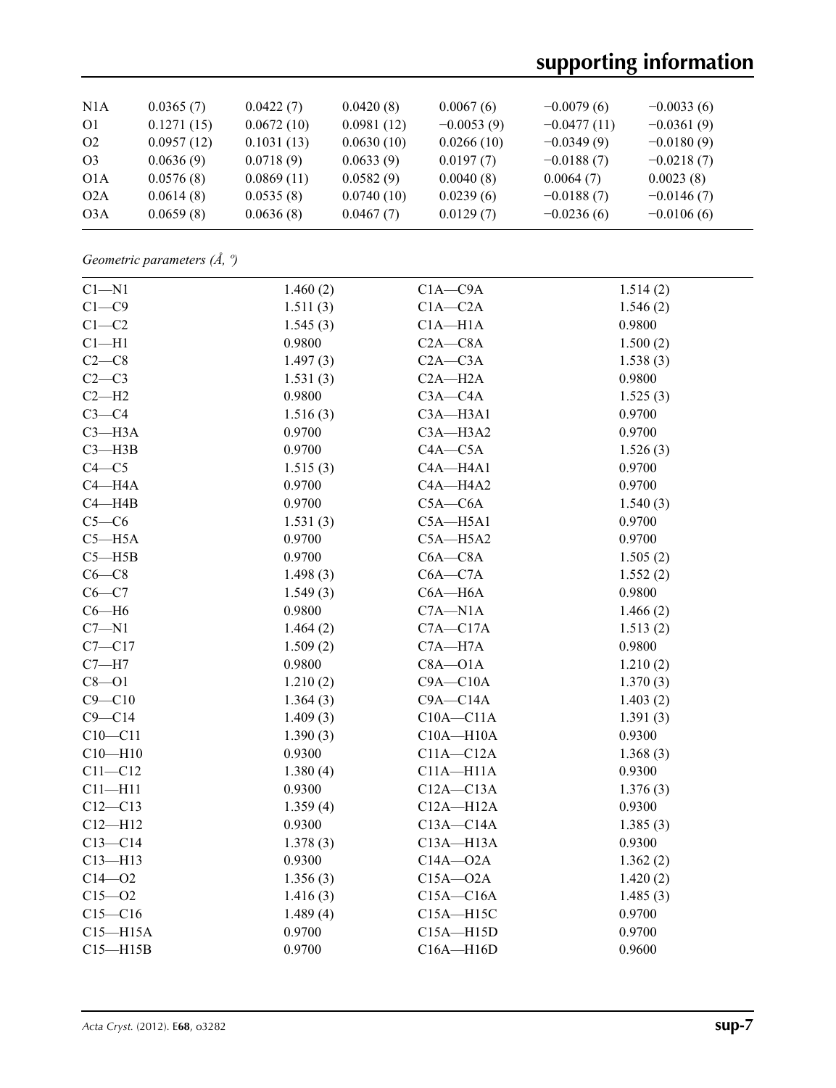# **supporting information**

| N1A            | 0.0365(7)  | 0.0422(7)  | 0.0420(8)  | 0.0067(6)    | $-0.0079(6)$  | $-0.0033(6)$ |
|----------------|------------|------------|------------|--------------|---------------|--------------|
| O <sub>1</sub> | 0.1271(15) | 0.0672(10) | 0.0981(12) | $-0.0053(9)$ | $-0.0477(11)$ | $-0.0361(9)$ |
| O <sub>2</sub> | 0.0957(12) | 0.1031(13) | 0.0630(10) | 0.0266(10)   | $-0.0349(9)$  | $-0.0180(9)$ |
| O <sub>3</sub> | 0.0636(9)  | 0.0718(9)  | 0.0633(9)  | 0.0197(7)    | $-0.0188(7)$  | $-0.0218(7)$ |
| O1A            | 0.0576(8)  | 0.0869(11) | 0.0582(9)  | 0.0040(8)    | 0.0064(7)     | 0.0023(8)    |
| O2A            | 0.0614(8)  | 0.0535(8)  | 0.0740(10) | 0.0239(6)    | $-0.0188(7)$  | $-0.0146(7)$ |
| O3A            | 0.0659(8)  | 0.0636(8)  | 0.0467(7)  | 0.0129(7)    | $-0.0236(6)$  | $-0.0106(6)$ |

*Geometric parameters (Å, º)*

| $C1 - N1$    | 1.460(2) | $C1A - C9A$   | 1.514(2) |
|--------------|----------|---------------|----------|
| $C1 - C9$    | 1.511(3) | $C1A - C2A$   | 1.546(2) |
| $C1-C2$      | 1.545(3) | $C1A - H1A$   | 0.9800   |
| $Cl-H1$      | 0.9800   | $C2A - C8A$   | 1.500(2) |
| $C2-C8$      | 1.497(3) | $C2A - C3A$   | 1.538(3) |
| $C2-C3$      | 1.531(3) | $C2A - H2A$   | 0.9800   |
| $C2-H2$      | 0.9800   | $C3A - C4A$   | 1.525(3) |
| $C3-C4$      | 1.516(3) | $C3A - H3A1$  | 0.9700   |
| $C3 - H3A$   | 0.9700   | C3A-H3A2      | 0.9700   |
| $C3 - H3B$   | 0.9700   | $C4A - C5A$   | 1.526(3) |
| $C4 - C5$    | 1.515(3) | C4A-H4A1      | 0.9700   |
| $C4 - H4A$   | 0.9700   | C4A-H4A2      | 0.9700   |
| $C4 - H4B$   | 0.9700   | $C5A - C6A$   | 1.540(3) |
| $C5-C6$      | 1.531(3) | $C5A - H5A1$  | 0.9700   |
| $C5 - H5A$   | 0.9700   | $C5A - H5A2$  | 0.9700   |
| $C5 - H5B$   | 0.9700   | $C6A - C8A$   | 1.505(2) |
| $C6-C8$      | 1.498(3) | $C6A - C7A$   | 1.552(2) |
| $C6 - C7$    | 1.549(3) | $C6A - H6A$   | 0.9800   |
| $C6 - H6$    | 0.9800   | $C7A - N1A$   | 1.466(2) |
| $C7 - N1$    | 1.464(2) | $C7A - C17A$  | 1.513(2) |
| $C7 - C17$   | 1.509(2) | $C7A - H7A$   | 0.9800   |
| $C7 - H7$    | 0.9800   | $C8A - O1A$   | 1.210(2) |
| $C8 - O1$    | 1.210(2) | $C9A - C10A$  | 1.370(3) |
| $C9 - C10$   | 1.364(3) | $C9A - C14A$  | 1.403(2) |
| $C9 - C14$   | 1.409(3) | $C10A - C11A$ | 1.391(3) |
| $C10-C11$    | 1.390(3) | $C10A - H10A$ | 0.9300   |
| $C10 - H10$  | 0.9300   | $C11A - C12A$ | 1.368(3) |
| $C11 - C12$  | 1.380(4) | $C11A - H11A$ | 0.9300   |
| $C11 - H11$  | 0.9300   | $C12A - C13A$ | 1.376(3) |
| $C12 - C13$  | 1.359(4) | $C12A - H12A$ | 0.9300   |
| $C12 - H12$  | 0.9300   | $C13A - C14A$ | 1.385(3) |
| $C13-C14$    | 1.378(3) | $C13A - H13A$ | 0.9300   |
| $C13 - H13$  | 0.9300   | $C14A - 02A$  | 1.362(2) |
| $C14 - 02$   | 1.356(3) | $C15A - 02A$  | 1.420(2) |
| $C15 - 02$   | 1.416(3) | $C15A - C16A$ | 1.485(3) |
| $C15 - C16$  | 1.489(4) | $C15A - H15C$ | 0.9700   |
| $C15 - H15A$ | 0.9700   | $C15A - H15D$ | 0.9700   |
| $C15 - H15B$ | 0.9700   | $C16A - H16D$ | 0.9600   |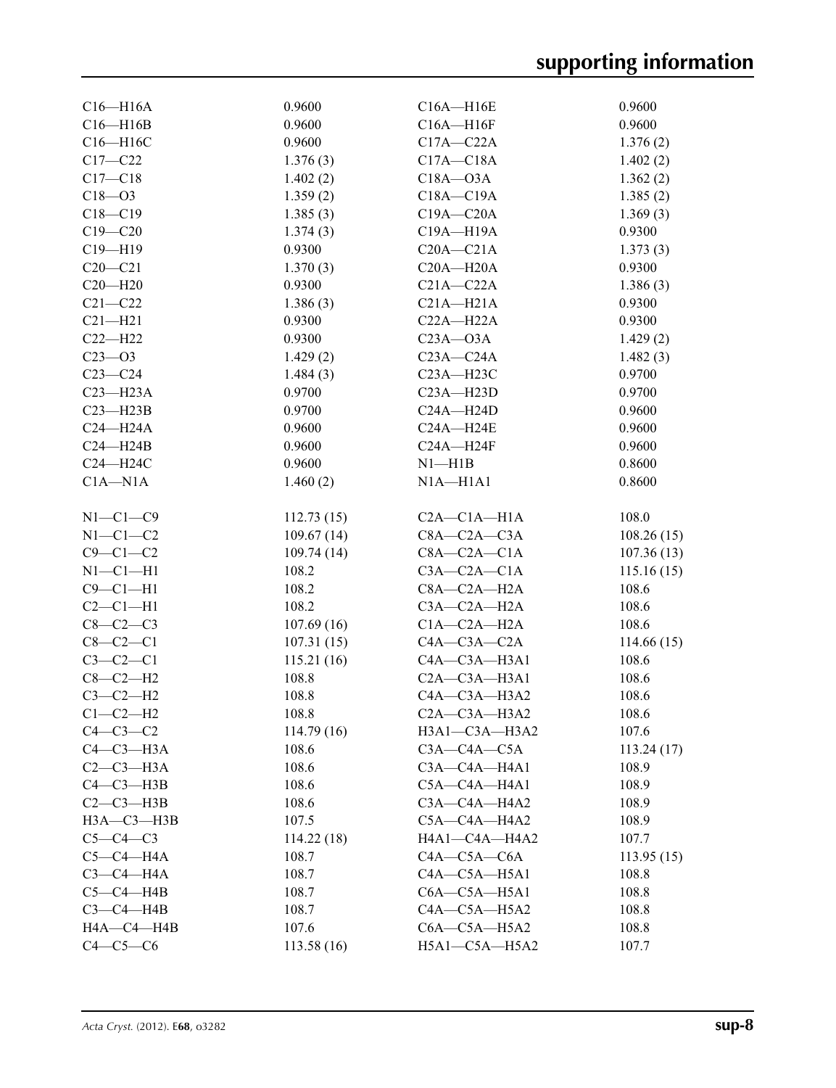| $C16 - H16A$             | 0.9600              | $C16A - H16E$                | 0.9600         |
|--------------------------|---------------------|------------------------------|----------------|
| $C16 - H16B$             | 0.9600              | $C16A - H16F$                | 0.9600         |
| C16-H16C                 | 0.9600              | $C17A - C22A$                | 1.376(2)       |
| $C17 - C22$              | 1.376(3)            | $C17A - C18A$                | 1.402(2)       |
| $C17 - C18$              | 1.402(2)            | $C18A - O3A$                 | 1.362(2)       |
| $C18 - 03$               | 1.359(2)            | $C18A - C19A$                | 1.385(2)       |
| $C18 - C19$              | 1.385(3)            | $C19A - C20A$                | 1.369(3)       |
| $C19 - C20$              | 1.374(3)            | C19A-H19A                    | 0.9300         |
| $C19 - H19$              | 0.9300              | $C20A - C21A$                | 1.373(3)       |
| $C20 - C21$              | 1.370(3)            | $C20A - H20A$                | 0.9300         |
| $C20 - H20$              | 0.9300              | $C21A - C22A$                | 1.386(3)       |
| $C21 - C22$              | 1.386(3)            | $C21A - H21A$                | 0.9300         |
| $C21 - H21$              | 0.9300              | $C22A - H22A$                | 0.9300         |
| $C22-H22$                | 0.9300              | $C23A - O3A$                 | 1.429(2)       |
| $C23 - 03$               | 1.429(2)            | $C23A - C24A$                | 1.482(3)       |
| $C23-C24$                | 1.484(3)            | $C23A - H23C$                | 0.9700         |
| $C23 - H23A$             | 0.9700              | $C23A - H23D$                | 0.9700         |
| $C23 - H23B$             | 0.9700              |                              | 0.9600         |
|                          |                     | $C24A - H24D$                |                |
| $C24 - H24A$             | 0.9600              | $C24A - H24E$                | 0.9600         |
| $C24 - H24B$             | 0.9600              | $C24A - H24F$                | 0.9600         |
| C24-H24C                 | 0.9600              | $N1 - H1B$                   | 0.8600         |
| $C1A - N1A$              | 1.460(2)            | $N1A - H1A1$                 | 0.8600         |
| $N1-C1-C9$               | 112.73(15)          | $C2A - C1A - H1A$            | 108.0          |
| $N1-C1-C2$               | 109.67(14)          | $C8A - C2A - C3A$            | 108.26(15)     |
| $C9-C1-C2$               | 109.74(14)          | $C8A - C2A - C1A$            | 107.36(13)     |
| $N1-C1-H1$               | 108.2               | $C3A - C2A - C1A$            | 115.16(15)     |
| $C9 - C1 - H1$           | 108.2               | $C8A - C2A - H2A$            | 108.6          |
| $C2-C1-H1$               | 108.2               | $C3A - C2A - H2A$            | 108.6          |
| $C8-C2-C3$               | 107.69(16)          | $C1A - C2A - H2A$            | 108.6          |
| $C8-C2-C1$               | 107.31(15)          | $C4A - C3A - C2A$            | 114.66(15)     |
| $C3-C2-C1$               | 115.21(16)          | $C4A - C3A - H3A1$           | 108.6          |
| $C8-C2-H2$               | 108.8               | $C2A - C3A - H3A1$           | 108.6          |
| $C3-C2-H2$               | 108.8               | $C4A - C3A - H3A2$           | 108.6          |
|                          |                     | $C2A - C3A - H3A2$           |                |
| $C1-C2-H2$<br>$C4-C3-C2$ | 108.8<br>114.79(16) | $H3A1-C3A-H3A2$              | 108.6<br>107.6 |
| $C4-C3-H3A$              | 108.6               | $C3A - C4A - C5A$            |                |
| $C2-C3-H3A$              |                     |                              | 113.24(17)     |
|                          | 108.6               | C3A-C4A-H4A1                 | 108.9          |
| $C4-C3-H3B$              | 108.6               | C5A-C4A-H4A1<br>C3A-C4A-H4A2 | 108.9          |
| $C2-C3-H3B$              | 108.6               |                              | 108.9          |
| НЗА-СЗ-НЗВ               | 107.5               | C5A-C4A-H4A2                 | 108.9          |
| $C5-C4-C3$               | 114.22(18)          | H4A1-C4A-H4A2                | 107.7          |
| $C5-C4-H4A$              | 108.7               | $C4A - C5A - C6A$            | 113.95(15)     |
| $C3-C4-H4A$              | 108.7               | $C4A - C5A - H5A1$           | 108.8          |
| $C5-C4-H4B$              | 108.7               | $C6A - C5A - H5A1$           | 108.8          |
| $C3-C4-HAB$              | 108.7               | $C4A - C5A - H5A2$           | 108.8          |
| HA—C4—H4B                | 107.6               | $C6A - C5A - H5A2$           | 108.8          |
| $C4-C5-C6$               | 113.58(16)          | H5A1-C5A-H5A2                | 107.7          |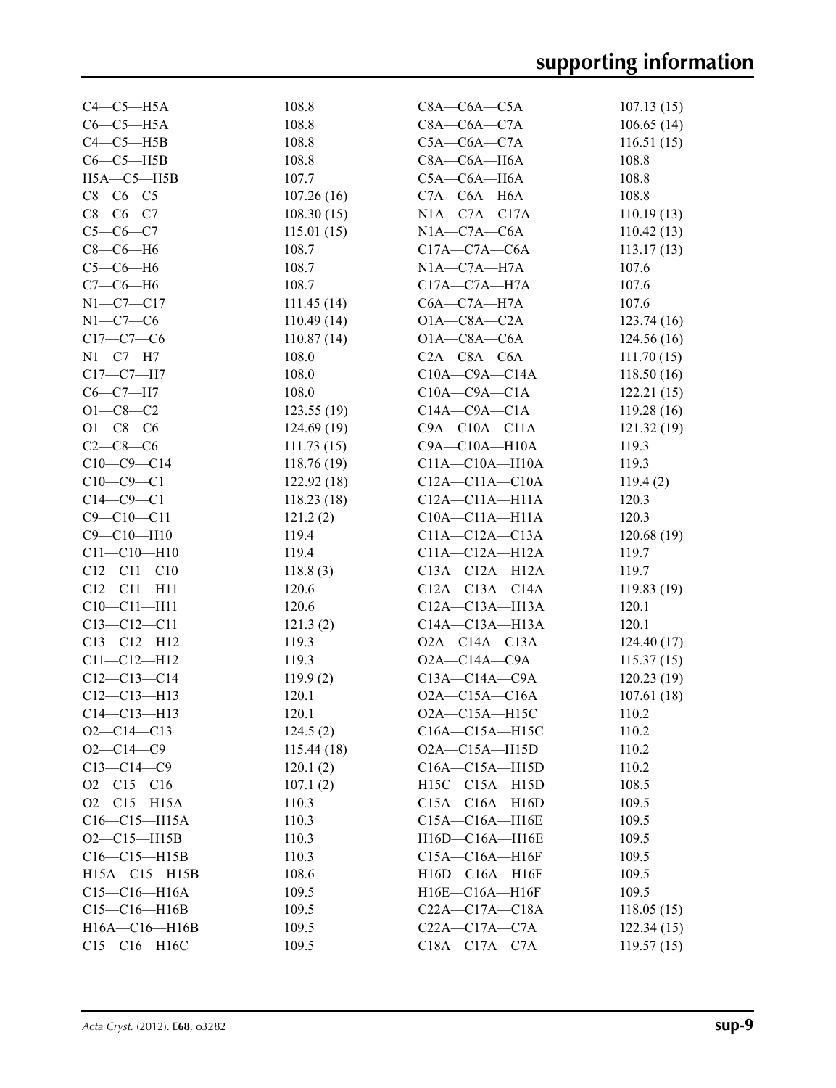| $C4-C5-H5A$       | 108.8      | $C8A - C6A - C5A$      | 107.13(15) |
|-------------------|------------|------------------------|------------|
| $C6-C5-H5A$       | 108.8      | $C8A - C6A - C7A$      | 106.65(14) |
| $C4-C5-H5B$       | 108.8      | $C5A - C6A - C7A$      | 116.51(15) |
| $C6-C5-H5B$       | 108.8      | $C8A - C6A - H6A$      | 108.8      |
| $H5A - C5 - H5B$  | 107.7      | $C5A - C6A - H6A$      | 108.8      |
| $C8-C6-C5$        | 107.26(16) | $C7A - C6A - H6A$      | 108.8      |
| $C8-C6-C7$        | 108.30(15) | $NIA$ - $C7A$ - $C17A$ | 110.19(13) |
| $C5 - C6 - C7$    | 115.01(15) | $N1A - C7A - C6A$      | 110.42(13) |
| $C8-C6-H6$        | 108.7      | $C17A - C7A - C6A$     | 113.17(13) |
| $C5-C6-H6$        | 108.7      | $N1A - C7A - H7A$      | 107.6      |
| $C7-C6-H6$        | 108.7      | $C17A - C7A - H7A$     | 107.6      |
| $N1 - C7 - C17$   | 111.45(14) | $C6A - C7A - H7A$      | 107.6      |
| $N1-C7-C6$        | 110.49(14) | $O1A - C8A - C2A$      | 123.74(16) |
| $C17 - C7 - C6$   | 110.87(14) | $O1A - C8A - C6A$      | 124.56(16) |
| $N1-C7-H7$        | 108.0      | $C2A - C8A - C6A$      | 111.70(15) |
| $C17-C7-H7$       | 108.0      | $C10A - C9A - C14A$    | 118.50(16) |
| $C6-C7-H7$        | 108.0      | $C10A - C9A - C1A$     | 122.21(15) |
| $O1 - C8 - C2$    | 123.55(19) | $C14A - C9A - C1A$     | 119.28(16) |
| $O1 - C8 - C6$    | 124.69(19) | $C9A - C10A - C11A$    | 121.32(19) |
| $C2-C8-C6$        | 111.73(15) | $C9A - C10A - H10A$    | 119.3      |
| $C10-C9-C14$      | 118.76(19) | $C11A - C10A - H10A$   | 119.3      |
| $C10-C9-C1$       | 122.92(18) | $C12A - C11A - C10A$   | 119.4(2)   |
| $C14-C9-C1$       | 118.23(18) | $C12A - C11A - H11A$   | 120.3      |
| $C9 - C10 - C11$  | 121.2(2)   | $C10A - C11A - H11A$   | 120.3      |
| $C9 - C10 - H10$  | 119.4      | $C11A - C12A - C13A$   | 120.68(19) |
| $C11 - C10 - H10$ | 119.4      | $C11A - C12A - H12A$   | 119.7      |
| $C12 - C11 - C10$ | 118.8(3)   | $C13A - C12A - H12A$   | 119.7      |
| $C12 - C11 - H11$ | 120.6      | $C12A - C13A - C14A$   | 119.83(19) |
| $C10-C11-H11$     | 120.6      | $C12A - C13A - H13A$   | 120.1      |
| $C13 - C12 - C11$ | 121.3(2)   | $C14A - C13A - H13A$   | 120.1      |
| $C13 - C12 - H12$ | 119.3      | $O2A - C14A - C13A$    | 124.40(17) |
| $C11 - C12 - H12$ | 119.3      | $O2A - C14A - C9A$     | 115.37(15) |
| $C12 - C13 - C14$ | 119.9(2)   | $C13A - C14A - C9A$    | 120.23(19) |
| $C12 - C13 - H13$ | 120.1      | $O2A - C15A - C16A$    | 107.61(18) |
| $C14 - C13 - H13$ | 120.1      | O2A-C15A-H15C          | 110.2      |
| $O2-C14-C13$      | 124.5(2)   | C16A-C15A-H15C         | 110.2      |
| $O2 - C14 - C9$   | 115.44(18) | $O2A - C15A - H15D$    | 110.2      |
| $C13 - C14 - C9$  | 120.1(2)   | $C16A - C15A - H15D$   | 110.2      |
| $O2 - C15 - C16$  | 107.1(2)   | H15C-C15A-H15D         | 108.5      |
| $O2 - C15 - H15A$ | 110.3      | $C15A - C16A - H16D$   | 109.5      |
| $C16-C15-H15A$    | 110.3      | C15A-C16A-H16E         | 109.5      |
| $O2 - C15 - H15B$ | 110.3      | H16D-C16A-H16E         | 109.5      |
| $C16-C15-H15B$    | 110.3      | C15A-C16A-H16F         | 109.5      |
| H15A-C15-H15B     | 108.6      | H16D-C16A-H16F         | 109.5      |
| $C15-C16-H16A$    | 109.5      | H16E-C16A-H16F         | 109.5      |
| $C15-C16-H16B$    | 109.5      | $C22A - C17A - C18A$   | 118.05(15) |
| H16A-C16-H16B     | 109.5      | $C22A - C17A - C7A$    | 122.34(15) |
| C15-C16-H16C      | 109.5      | $C18A - C17A - C7A$    | 119.57(15) |
|                   |            |                        |            |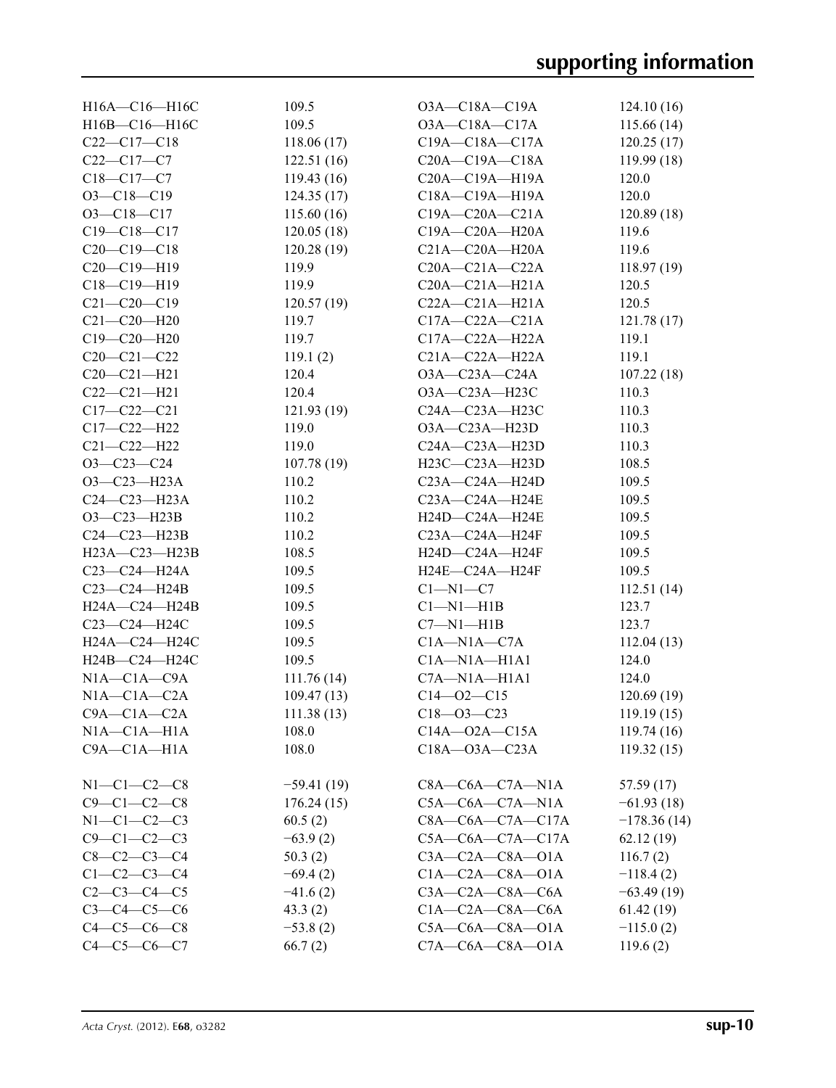| H16A-C16-H16C       | 109.5        | $O3A - C18A - C19A$      | 124.10(16)    |
|---------------------|--------------|--------------------------|---------------|
| H16B-C16-H16C       | 109.5        | $O3A - C18A - C17A$      | 115.66(14)    |
| $C22-C17-C18$       | 118.06(17)   | C19A-C18A-C17A           | 120.25(17)    |
| $C22-C17-C7$        | 122.51(16)   | $C20A - C19A - C18A$     | 119.99(18)    |
| $C18 - C17 - C7$    | 119.43(16)   | C20A-C19A-H19A           | 120.0         |
| $O3 - C18 - C19$    | 124.35(17)   | C18A-C19A-H19A           | 120.0         |
| $O3 - C18 - C17$    | 115.60(16)   | $C19A - C20A - C21A$     | 120.89(18)    |
| $C19 - C18 - C17$   | 120.05(18)   | C19A-C20A-H20A           | 119.6         |
| $C20-C19-C18$       | 120.28(19)   | $C21A - C20A - H20A$     | 119.6         |
| $C20-C19-H19$       | 119.9        | $C20A - C21A - C22A$     | 118.97(19)    |
| $C18 - C19 - H19$   | 119.9        | $C20A - C21A - H21A$     | 120.5         |
| $C21 - C20 - C19$   | 120.57(19)   | $C22A - C21A - H21A$     | 120.5         |
| $C21 - C20 - H20$   | 119.7        | $C17A - C22A - C21A$     | 121.78(17)    |
| C19-C20-H20         | 119.7        | $C17A - C22A - H22A$     | 119.1         |
| $C20 - C21 - C22$   | 119.1(2)     | $C21A - C22A - H22A$     | 119.1         |
| $C20-C21-H21$       | 120.4        | $O3A - C23A - C24A$      | 107.22(18)    |
| $C22-C21-H21$       | 120.4        | O3A-C23A-H23C            | 110.3         |
| $C17 - C22 - C21$   | 121.93(19)   | C24A-C23A-H23C           | 110.3         |
| C17-C22-H22         | 119.0        | O3A-C23A-H23D            | 110.3         |
| $C21 - C22 - H22$   | 119.0        | C24A-C23A-H23D           | 110.3         |
| $O3 - C23 - C24$    | 107.78(19)   | H23C-C23A-H23D           | 108.5         |
| $O3-C23-H23A$       | 110.2        | $C23A - C24A - H24D$     | 109.5         |
| $C24-C23-H23A$      | 110.2        | C23A-C24A-H24E           | 109.5         |
| $O3 - C23 - H23B$   | 110.2        | H24D-C24A-H24E           | 109.5         |
| $C24-C23-H23B$      | 110.2        | C23A-C24A-H24F           | 109.5         |
| $H23A - C23 - H23B$ | 108.5        | H24D-C24A-H24F           | 109.5         |
| C23-C24-H24A        | 109.5        | H24E-C24A-H24F           | 109.5         |
| C23-C24-H24B        | 109.5        | $C1 - N1 - C7$           | 112.51(14)    |
| H24A-C24-H24B       | 109.5        | $Cl-M1-H1B$              | 123.7         |
| C23-C24-H24C        | 109.5        | $C7 - N1 - H1B$          | 123.7         |
| H24A-C24-H24C       | 109.5        | $C1A - N1A - C7A$        | 112.04(13)    |
| H24B-C24-H24C       | 109.5        | $C1A-M1A-H1A1$           | 124.0         |
| $N1A - C1A - C9A$   | 111.76(14)   | $C7A - N1A - H1A1$       | 124.0         |
| $N1A - C1A - C2A$   | 109.47(13)   | $C14 - 02 - C15$         | 120.69(19)    |
| $C9A - C1A - C2A$   | 111.38(13)   | $C18 - 03 - C23$         | 119.19(15)    |
| $NIA - CIA - H1A$   | 108.0        | $C14A - 02A - C15A$      | 119.74(16)    |
| $C9A - C1A - H1A$   | 108.0        | $C18A - 03A - C23A$      | 119.32(15)    |
|                     |              |                          |               |
| $N1-C1-C2-C8$       | $-59.41(19)$ | $C8A - C6A - C7A - N1A$  | 57.59(17)     |
| $C9 - C1 - C2 - C8$ | 176.24(15)   | $C5A - C6A - C7A - N1A$  | $-61.93(18)$  |
| $N1 - C1 - C2 - C3$ | 60.5(2)      | $C8A - C6A - C7A - C17A$ | $-178.36(14)$ |
| $C9 - C1 - C2 - C3$ | $-63.9(2)$   | $C5A-C6A-C7A-C17A$       | 62.12(19)     |
| $C8 - C2 - C3 - C4$ | 50.3(2)      | $C3A - C2A - C8A - O1A$  | 116.7(2)      |
| $C1 - C2 - C3 - C4$ | $-69.4(2)$   | $C1A - C2A - C8A - O1A$  | $-118.4(2)$   |
| $C2 - C3 - C4 - C5$ | $-41.6(2)$   | $C3A - C2A - C8A - C6A$  | $-63.49(19)$  |
| $C3 - C4 - C5 - C6$ |              | $C1A - C2A - C8A - C6A$  |               |
|                     | 43.3(2)      |                          | 61.42(19)     |
| $C4 - C5 - C6 - C8$ | $-53.8(2)$   | $C5A - C6A - C8A - O1A$  | $-115.0(2)$   |
| $C4 - C5 - C6 - C7$ | 66.7(2)      | $C7A - C6A - C8A - O1A$  | 119.6(2)      |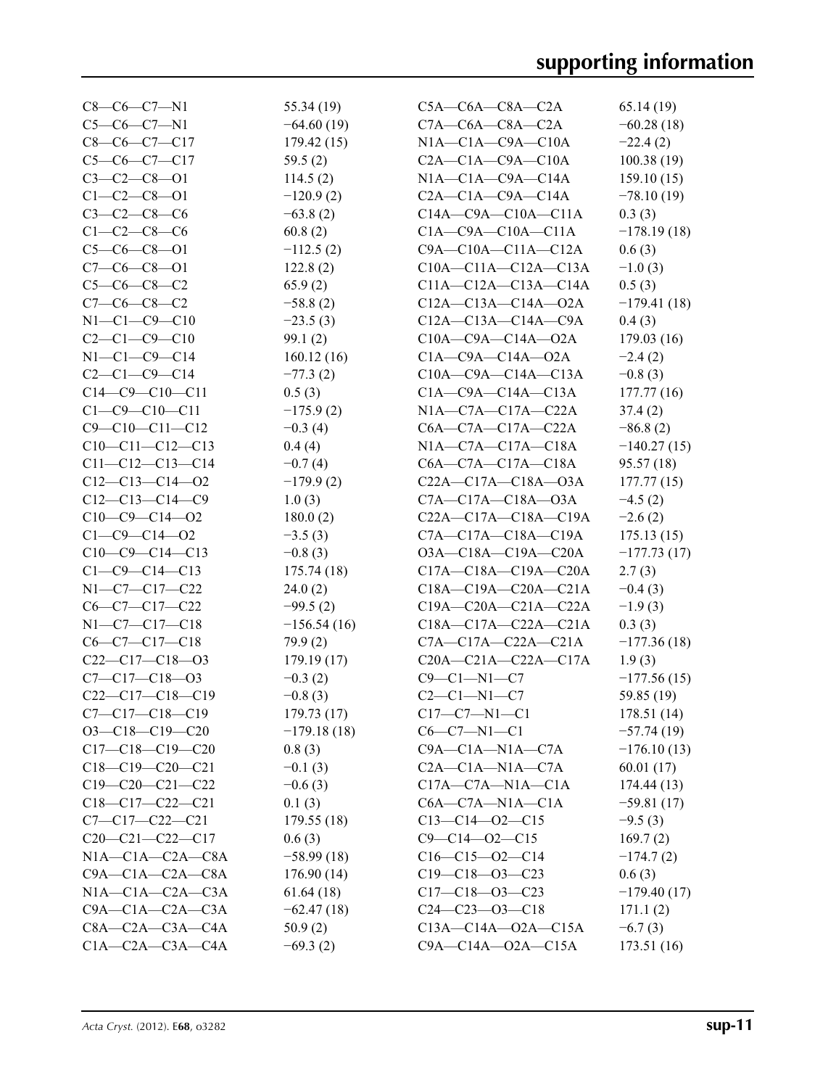| $C8-C6-C7-N1$           | 55.34 (19)    | $C5A - C6A - C8A - C2A$         | 65.14(19)     |
|-------------------------|---------------|---------------------------------|---------------|
| $C5-C6-C7-N1$           | $-64.60(19)$  | $C7A - C6A - C8A - C2A$         | $-60.28(18)$  |
| $C8-C6-C7-C17$          | 179.42(15)    | $NIA$ — $C1A$ — $C9A$ — $C10A$  | $-22.4(2)$    |
| $C5-C6-C7-C17$          | 59.5(2)       | $C2A - C1A - C9A - C10A$        | 100.38(19)    |
| $C3 - C2 - C8 - 01$     | 114.5(2)      | $N1A - C1A - C9A - C14A$        | 159.10(15)    |
| $C1 - C2 - C8 - 01$     | $-120.9(2)$   | $C2A - C1A - C9A - C14A$        | $-78.10(19)$  |
| $C3 - C2 - C8 - C6$     | $-63.8(2)$    | $C14A - C9A - C10A - C11A$      | 0.3(3)        |
| $C1 - C2 - C8 - C6$     | 60.8(2)       | $C1A - C9A - C10A - C11A$       | $-178.19(18)$ |
| $C5-C6-C8-O1$           | $-112.5(2)$   | $C9A - C10A - C11A - C12A$      | 0.6(3)        |
| $C7-C6-C8-O1$           | 122.8(2)      | $C10A - C11A - C12A - C13A$     | $-1.0(3)$     |
| $C5-C6-C8-C2$           | 65.9(2)       | $C11A - C12A - C13A - C14A$     | 0.5(3)        |
| $C7-C6-C8-C2$           | $-58.8(2)$    | $C12A - C13A - C14A - 02A$      | $-179.41(18)$ |
| $N1 - C1 - C9 - C10$    | $-23.5(3)$    | $C12A - C13A - C14A - C9A$      | 0.4(3)        |
| $C2 - C1 - C9 - C10$    | 99.1(2)       | $C10A - C9A - C14A - 02A$       | 179.03(16)    |
| $N1-C1-C9-C14$          |               | $C1A - C9A - C14A - 02A$        |               |
| $C2 - C1 - C9 - C14$    | 160.12(16)    |                                 | $-2.4(2)$     |
|                         | $-77.3(2)$    | $C10A - C9A - C14A - C13A$      | $-0.8(3)$     |
| $C14-C9-C10-C11$        | 0.5(3)        | $C1A - C9A - C14A - C13A$       | 177.77(16)    |
| $C1 - C9 - C10 - C11$   | $-175.9(2)$   | $NIA$ — $C7A$ — $C17A$ — $C22A$ | 37.4(2)       |
| $C9 - C10 - C11 - C12$  | $-0.3(4)$     | $C6A - C7A - C17A - C22A$       | $-86.8(2)$    |
| $C10-C11-C12-C13$       | 0.4(4)        | $N1A - C7A - C17A - C18A$       | $-140.27(15)$ |
| $C11-C12-C13-C14$       | $-0.7(4)$     | $C6A - C7A - C17A - C18A$       | 95.57(18)     |
| $C12-C13-C14-O2$        | $-179.9(2)$   | C22A-C17A-C18A-O3A              | 177.77(15)    |
| $C12-C13-C14-C9$        | 1.0(3)        | $C7A - C17A - C18A - O3A$       | $-4.5(2)$     |
| $C10-C9-C14-02$         | 180.0(2)      | $C22A - C17A - C18A - C19A$     | $-2.6(2)$     |
| $C1 - C9 - C14 - 02$    | $-3.5(3)$     | C7A-C17A-C18A-C19A              | 175.13(15)    |
| $C10-C9-C14-C13$        | $-0.8(3)$     | $O3A - C18A - C19A - C20A$      | $-177.73(17)$ |
| $C1 - C9 - C14 - C13$   | 175.74 (18)   | C17A-C18A-C19A-C20A             | 2.7(3)        |
| N1-C7-C17-C22           | 24.0(2)       | $C18A - C19A - C20A - C21A$     | $-0.4(3)$     |
| $C6-C7-C17-C22$         | $-99.5(2)$    | $C19A - C20A - C21A - C22A$     | $-1.9(3)$     |
| $N1-C7-C17-C18$         | $-156.54(16)$ | $C18A - C17A - C22A - C21A$     | 0.3(3)        |
| $C6-C7-C17-C18$         | 79.9(2)       | $C7A - C17A - C22A - C21A$      | $-177.36(18)$ |
| $C22-C17-C18-O3$        | 179.19(17)    | $C20A - C21A - C22A - C17A$     | 1.9(3)        |
| $C7 - C17 - C18 - 03$   | $-0.3(2)$     | $C9 - C1 - N1 - C7$             | $-177.56(15)$ |
| C22-C17-C18-C19         | $-0.8(3)$     | $C2-C1-N1-C7$                   | 59.85 (19)    |
| $C7 - C17 - C18 - C19$  | 179.73 (17)   | $C17-C7-N1-C1$                  | 178.51(14)    |
| $O3-C18-C19-C20$        | $-179.18(18)$ | $C6-C7-N1-C1$                   | $-57.74(19)$  |
| $C17-C18-C19-C20$       | 0.8(3)        | $C9A - C1A - N1A - C7A$         | $-176.10(13)$ |
| $C18-C19-C20-C21$       | $-0.1(3)$     | $C2A - C1A - N1A - C7A$         | 60.01(17)     |
| $C19-C20-C21-C22$       | $-0.6(3)$     | $C17A - C7A - N1A - C1A$        | 174.44(13)    |
| $C18-C17-C22-C21$       | 0.1(3)        | $C6A - C7A - N1A - C1A$         | $-59.81(17)$  |
| $C7 - C17 - C22 - C21$  | 179.55(18)    | $C13-C14-O2-C15$                | $-9.5(3)$     |
| $C20-C21-C22-C17$       | 0.6(3)        | $C9 - C14 - 02 - C15$           | 169.7(2)      |
| $N1A - C1A - C2A - C8A$ | $-58.99(18)$  | $C16-C15-O2-C14$                | $-174.7(2)$   |
| $C9A - C1A - C2A - C8A$ | 176.90(14)    | $C19-C18-O3-C23$                | 0.6(3)        |
| $N1A - C1A - C2A - C3A$ | 61.64(18)     | $C17-C18-O3-C23$                | $-179.40(17)$ |
| $C9A - C1A - C2A - C3A$ | $-62.47(18)$  | $C24-C23-O3-C18$                | 171.1(2)      |
| $C8A - C2A - C3A - C4A$ | 50.9(2)       | $C13A - C14A - 02A - C15A$      | $-6.7(3)$     |
| $C1A - C2A - C3A - C4A$ | $-69.3(2)$    | $C9A - C14A - 02A - C15A$       | 173.51 (16)   |
|                         |               |                                 |               |